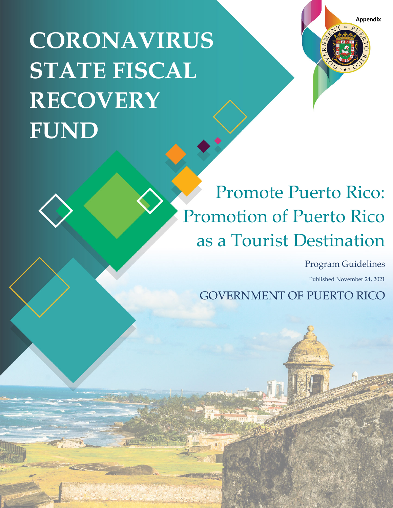*Privileged and Confidential; Draft – Subject to Change – Subject to Deliberative Privilege* **CORONAVIRUS STATE FISCAL RECOVERY FUND**



# Promote Puerto Rico: Promotion of Puerto Rico as a Tourist Destination

Program Guidelines

Published November 24, 2021

GOVERNMENT OF PUERTO RICO

177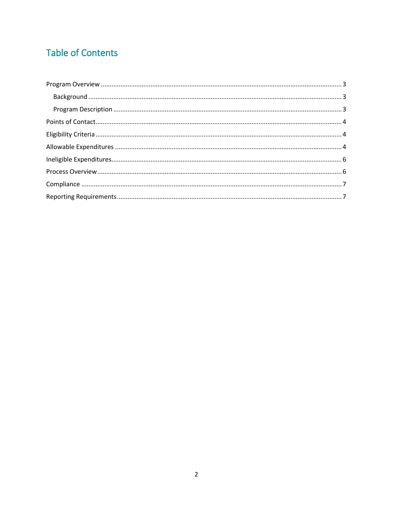# **Table of Contents**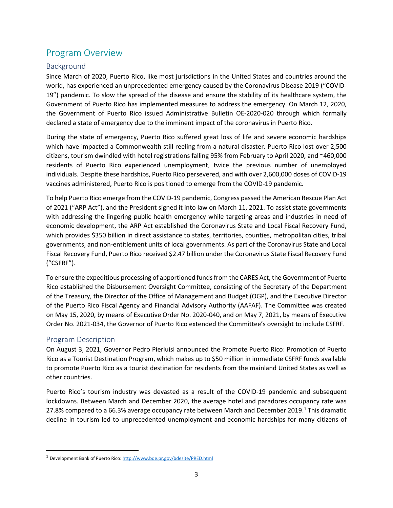# <span id="page-2-0"></span>Program Overview

## <span id="page-2-1"></span>Background

Since March of 2020, Puerto Rico, like most jurisdictions in the United States and countries around the world, has experienced an unprecedented emergency caused by the Coronavirus Disease 2019 ("COVID-19") pandemic. To slow the spread of the disease and ensure the stability of its healthcare system, the Government of Puerto Rico has implemented measures to address the emergency. On March 12, 2020, the Government of Puerto Rico issued Administrative Bulletin OE-2020-020 through which formally declared a state of emergency due to the imminent impact of the coronavirus in Puerto Rico.

During the state of emergency, Puerto Rico suffered great loss of life and severe economic hardships which have impacted a Commonwealth still reeling from a natural disaster. Puerto Rico lost over 2,500 citizens, tourism dwindled with hotel registrations falling 95% from February to April 2020, and ~460,000 residents of Puerto Rico experienced unemployment, twice the previous number of unemployed individuals. Despite these hardships, Puerto Rico persevered, and with over 2,600,000 doses of COVID-19 vaccines administered, Puerto Rico is positioned to emerge from the COVID-19 pandemic.

To help Puerto Rico emerge from the COVID-19 pandemic, Congress passed the American Rescue Plan Act of 2021 ("ARP Act"), and the President signed it into law on March 11, 2021. To assist state governments with addressing the lingering public health emergency while targeting areas and industries in need of economic development, the ARP Act established the Coronavirus State and Local Fiscal Recovery Fund, which provides \$350 billion in direct assistance to states, territories, counties, metropolitan cities, tribal governments, and non-entitlement units of local governments. As part of the Coronavirus State and Local Fiscal Recovery Fund, Puerto Rico received \$2.47 billion under the Coronavirus State Fiscal Recovery Fund ("CSFRF").

To ensure the expeditious processing of apportioned funds from the CARES Act, the Government of Puerto Rico established the Disbursement Oversight Committee, consisting of the Secretary of the Department of the Treasury, the Director of the Office of Management and Budget (OGP), and the Executive Director of the Puerto Rico Fiscal Agency and Financial Advisory Authority (AAFAF). The Committee was created on May 15, 2020, by means of Executive Order No. 2020-040, and on May 7, 2021, by means of Executive Order No. 2021-034, the Governor of Puerto Rico extended the Committee's oversight to include CSFRF.

### <span id="page-2-2"></span>Program Description

On August 3, 2021, Governor Pedro Pierluisi announced the Promote Puerto Rico: Promotion of Puerto Rico as a Tourist Destination Program, which makes up to \$50 million in immediate CSFRF funds available to promote Puerto Rico as a tourist destination for residents from the mainland United States as well as other countries.

Puerto Rico's tourism industry was devasted as a result of the COVID-19 pandemic and subsequent lockdowns. Between March and December 2020, the average hotel and paradores occupancy rate was 27.8% compared to a 66.3% average occupancy rate between March and December 20[1](#page-2-3)9.<sup>1</sup> This dramatic decline in tourism led to unprecedented unemployment and economic hardships for many citizens of

<span id="page-2-3"></span><sup>1</sup> Development Bank of Puerto Rico[: http://www.bde.pr.gov/bdesite/PRED.html](http://www.bde.pr.gov/bdesite/PRED.html)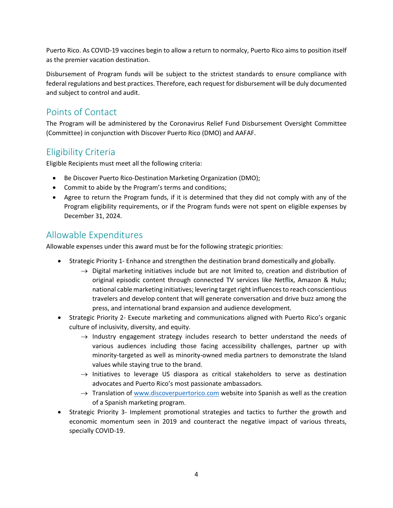Puerto Rico. As COVID-19 vaccines begin to allow a return to normalcy, Puerto Rico aims to position itself as the premier vacation destination.

Disbursement of Program funds will be subject to the strictest standards to ensure compliance with federal regulations and best practices. Therefore, each request for disbursement will be duly documented and subject to control and audit.

# <span id="page-3-0"></span>Points of Contact

The Program will be administered by the Coronavirus Relief Fund Disbursement Oversight Committee (Committee) in conjunction with Discover Puerto Rico (DMO) and AAFAF.

# <span id="page-3-1"></span>Eligibility Criteria

Eligible Recipients must meet all the following criteria:

- Be Discover Puerto Rico-Destination Marketing Organization (DMO);
- Commit to abide by the Program's terms and conditions;
- Agree to return the Program funds, if it is determined that they did not comply with any of the Program eligibility requirements, or if the Program funds were not spent on eligible expenses by December 31, 2024.

# <span id="page-3-2"></span>Allowable Expenditures

Allowable expenses under this award must be for the following strategic priorities:

- Strategic Priority 1- Enhance and strengthen the destination brand domestically and globally.
	- $\rightarrow$  Digital marketing initiatives include but are not limited to, creation and distribution of original episodic content through connected TV services like Netflix, Amazon & Hulu; national cable marketing initiatives; levering target right influences to reach conscientious travelers and develop content that will generate conversation and drive buzz among the press, and international brand expansion and audience development.
- Strategic Priority 2- Execute marketing and communications aligned with Puerto Rico's organic culture of inclusivity, diversity, and equity.
	- $\rightarrow$  Industry engagement strategy includes research to better understand the needs of various audiences including those facing accessibility challenges, partner up with minority-targeted as well as minority-owned media partners to demonstrate the Island values while staying true to the brand.
	- $\rightarrow$  Initiatives to leverage US diaspora as critical stakeholders to serve as destination advocates and Puerto Rico's most passionate ambassadors.
	- $\rightarrow$  Translation o[f www.discoverpuertorico.com](http://www.discoverpuertorico.com/) website into Spanish as well as the creation of a Spanish marketing program.
- Strategic Priority 3- Implement promotional strategies and tactics to further the growth and economic momentum seen in 2019 and counteract the negative impact of various threats, specially COVID-19.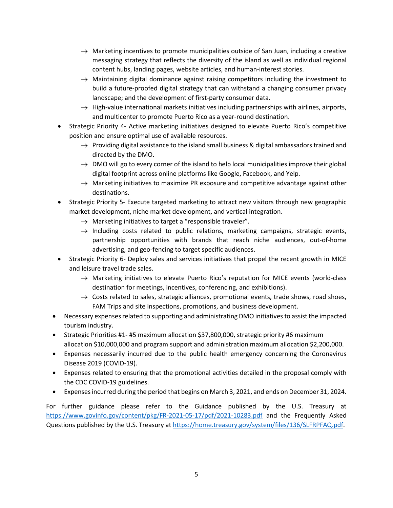- $\rightarrow$  Marketing incentives to promote municipalities outside of San Juan, including a creative messaging strategy that reflects the diversity of the island as well as individual regional content hubs, landing pages, website articles, and human-interest stories.
- $\rightarrow$  Maintaining digital dominance against raising competitors including the investment to build a future-proofed digital strategy that can withstand a changing consumer privacy landscape; and the development of first-party consumer data.
- $\rightarrow$  High-value international markets initiatives including partnerships with airlines, airports, and multicenter to promote Puerto Rico as a year-round destination.
- Strategic Priority 4- Active marketing initiatives designed to elevate Puerto Rico's competitive position and ensure optimal use of available resources.
	- $\rightarrow$  Providing digital assistance to the island small business & digital ambassadors trained and directed by the DMO.
	- $\rightarrow$  DMO will go to every corner of the island to help local municipalities improve their global digital footprint across online platforms like Google, Facebook, and Yelp.
	- $\rightarrow$  Marketing initiatives to maximize PR exposure and competitive advantage against other destinations.
- Strategic Priority 5- Execute targeted marketing to attract new visitors through new geographic market development, niche market development, and vertical integration.
	- $\rightarrow$  Marketing initiatives to target a "responsible traveler".
	- $\rightarrow$  Including costs related to public relations, marketing campaigns, strategic events, partnership opportunities with brands that reach niche audiences, out-of-home advertising, and geo-fencing to target specific audiences.
- Strategic Priority 6- Deploy sales and services initiatives that propel the recent growth in MICE and leisure travel trade sales.
	- $\rightarrow$  Marketing initiatives to elevate Puerto Rico's reputation for MICE events (world-class destination for meetings, incentives, conferencing, and exhibitions).
	- $\rightarrow$  Costs related to sales, strategic alliances, promotional events, trade shows, road shoes, FAM Trips and site inspections, promotions, and business development.
- Necessary expenses related to supporting and administrating DMO initiatives to assist the impacted tourism industry.
- Strategic Priorities #1- #5 maximum allocation \$37,800,000, strategic priority #6 maximum allocation \$10,000,000 and program support and administration maximum allocation \$2,200,000.
- Expenses necessarily incurred due to the public health emergency concerning the Coronavirus Disease 2019 (COVID-19).
- Expenses related to ensuring that the promotional activities detailed in the proposal comply with the CDC COVID-19 guidelines.
- Expenses incurred during the period that begins on March 3, 2021, and ends on December 31, 2024.

For further guidance please refer to the Guidance published by the U.S. Treasury at <https://www.govinfo.gov/content/pkg/FR-2021-05-17/pdf/2021-10283.pdf> and the Frequently Asked Questions published by the U.S. Treasury at [https://home.treasury.gov/system/files/136/SLFRPFAQ.pdf.](https://home.treasury.gov/system/files/136/SLFRPFAQ.pdf)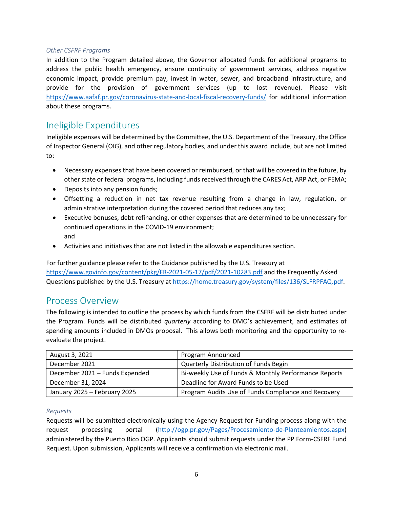#### *Other CSFRF Programs*

In addition to the Program detailed above, the Governor allocated funds for additional programs to address the public health emergency, ensure continuity of government services, address negative economic impact, provide premium pay, invest in water, sewer, and broadband infrastructure, and provide for the provision of government services (up to lost revenue). Please visit <https://www.aafaf.pr.gov/coronavirus-state-and-local-fiscal-recovery-funds/> for additional information about these programs.

# <span id="page-5-0"></span>Ineligible Expenditures

Ineligible expenses will be determined by the Committee, the U.S. Department of the Treasury, the Office of Inspector General (OIG), and other regulatory bodies, and under this award include, but are not limited to:

- Necessary expenses that have been covered or reimbursed, or that will be covered in the future, by other state or federal programs, including funds received through the CARES Act, ARP Act, or FEMA;
- Deposits into any pension funds;
- Offsetting a reduction in net tax revenue resulting from a change in law, regulation, or administrative interpretation during the covered period that reduces any tax;
- Executive bonuses, debt refinancing, or other expenses that are determined to be unnecessary for continued operations in the COVID-19 environment; and
- Activities and initiatives that are not listed in the allowable expenditures section.

<span id="page-5-1"></span>For further guidance please refer to the Guidance published by the U.S. Treasury at <https://www.govinfo.gov/content/pkg/FR-2021-05-17/pdf/2021-10283.pdf> and the Frequently Asked Questions published by the U.S. Treasury at [https://home.treasury.gov/system/files/136/SLFRPFAQ.pdf.](https://home.treasury.gov/system/files/136/SLFRPFAQ.pdf)

## Process Overview

The following is intended to outline the process by which funds from the CSFRF will be distributed under the Program. Funds will be distributed *quarterly* according to DMO's achievement, and estimates of spending amounts included in DMOs proposal. This allows both monitoring and the opportunity to reevaluate the project.

| August 3, 2021                 | Program Announced                                    |
|--------------------------------|------------------------------------------------------|
| December 2021                  | <b>Quarterly Distribution of Funds Begin</b>         |
| December 2021 - Funds Expended | Bi-weekly Use of Funds & Monthly Performance Reports |
| December 31, 2024              | Deadline for Award Funds to be Used                  |
| January 2025 - February 2025   | Program Audits Use of Funds Compliance and Recovery  |

#### *Requests*

Requests will be submitted electronically using the Agency Request for Funding process along with the request processing portal [\(http://ogp.pr.gov/Pages/Procesamiento-de-Planteamientos.aspx\)](http://ogp.pr.gov/Pages/Procesamiento-de-Planteamientos.aspx) administered by the Puerto Rico OGP. Applicants should submit requests under the PP Form-CSFRF Fund Request. Upon submission, Applicants will receive a confirmation via electronic mail.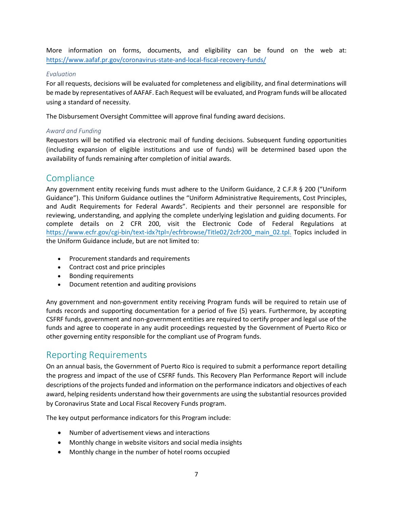More information on forms, documents, and eligibility can be found on the web at: <https://www.aafaf.pr.gov/coronavirus-state-and-local-fiscal-recovery-funds/>

#### *Evaluation*

For all requests, decisions will be evaluated for completeness and eligibility, and final determinations will be made by representatives of AAFAF. Each Request will be evaluated, and Program funds will be allocated using a standard of necessity.

The Disbursement Oversight Committee will approve final funding award decisions.

#### *Award and Funding*

Requestors will be notified via electronic mail of funding decisions. Subsequent funding opportunities (including expansion of eligible institutions and use of funds) will be determined based upon the availability of funds remaining after completion of initial awards.

## <span id="page-6-0"></span>**Compliance**

Any government entity receiving funds must adhere to the Uniform Guidance, 2 C.F.R § 200 ("Uniform Guidance"). This Uniform Guidance outlines the "Uniform Administrative Requirements, Cost Principles, and Audit Requirements for Federal Awards". Recipients and their personnel are responsible for reviewing, understanding, and applying the complete underlying legislation and guiding documents. For complete details on 2 CFR 200, visit the Electronic Code of Federal Regulations at [https://www.ecfr.gov/cgi-bin/text-idx?tpl=/ecfrbrowse/Title02/2cfr200\\_main\\_02.tpl.](https://www.ecfr.gov/cgi-bin/text-idx?tpl=/ecfrbrowse/Title02/2cfr200_main_02.tpl) Topics included in the Uniform Guidance include, but are not limited to:

- Procurement standards and requirements
- Contract cost and price principles
- Bonding requirements
- Document retention and auditing provisions

Any government and non-government entity receiving Program funds will be required to retain use of funds records and supporting documentation for a period of five (5) years. Furthermore, by accepting CSFRF funds, government and non-government entities are required to certify proper and legal use of the funds and agree to cooperate in any audit proceedings requested by the Government of Puerto Rico or other governing entity responsible for the compliant use of Program funds.

## <span id="page-6-1"></span>Reporting Requirements

On an annual basis, the Government of Puerto Rico is required to submit a performance report detailing the progress and impact of the use of CSFRF funds. This Recovery Plan Performance Report will include descriptions of the projects funded and information on the performance indicators and objectives of each award, helping residents understand how their governments are using the substantial resources provided by Coronavirus State and Local Fiscal Recovery Funds program.

The key output performance indicators for this Program include:

- Number of advertisement views and interactions
- Monthly change in website visitors and social media insights
- Monthly change in the number of hotel rooms occupied